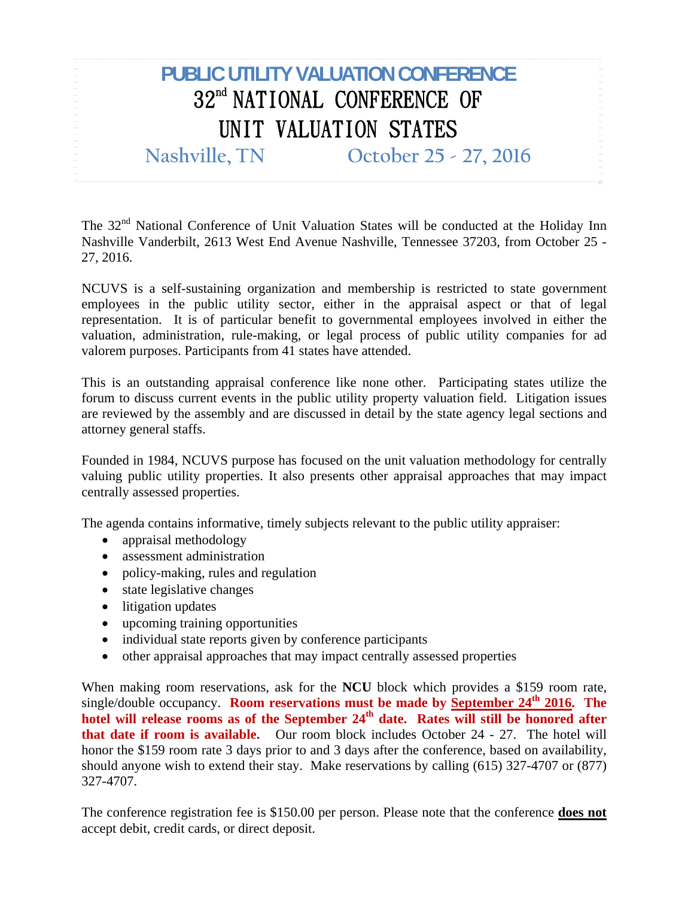## **PUBLIC UTILITY VALUATION CONFERENCE**  32<sup>nd</sup> NATIONAL CONFERENCE OF UNIT VALUATION STATES

**Nashville, TN October 25 - 27, 2016**

The 32<sup>nd</sup> National Conference of Unit Valuation States will be conducted at the Holiday Inn Nashville Vanderbilt, 2613 West End Avenue Nashville, Tennessee 37203, from October 25 - 27, 2016.

NCUVS is a self-sustaining organization and membership is restricted to state government employees in the public utility sector, either in the appraisal aspect or that of legal representation. It is of particular benefit to governmental employees involved in either the valuation, administration, rule-making, or legal process of public utility companies for ad valorem purposes. Participants from 41 states have attended.

This is an outstanding appraisal conference like none other. Participating states utilize the forum to discuss current events in the public utility property valuation field. Litigation issues are reviewed by the assembly and are discussed in detail by the state agency legal sections and attorney general staffs.

Founded in 1984, NCUVS purpose has focused on the unit valuation methodology for centrally valuing public utility properties. It also presents other appraisal approaches that may impact centrally assessed properties.

The agenda contains informative, timely subjects relevant to the public utility appraiser:

- appraisal methodology
- assessment administration
- policy-making, rules and regulation
- state legislative changes
- litigation updates
- upcoming training opportunities
- individual state reports given by conference participants
- other appraisal approaches that may impact centrally assessed properties

When making room reservations, ask for the **NCU** block which provides a \$159 room rate, single/double occupancy. **Room reservations must be made by September 24<sup>th</sup> 2016. The** hotel will release rooms as of the September 24<sup>th</sup> date. Rates will still be honored after **that date if room is available.** Our room block includes October 24 - 27. The hotel will honor the \$159 room rate 3 days prior to and 3 days after the conference, based on availability, should anyone wish to extend their stay. Make reservations by calling (615) 327-4707 or (877) 327-4707.

The conference registration fee is \$150.00 per person. Please note that the conference **does not** accept debit, credit cards, or direct deposit.